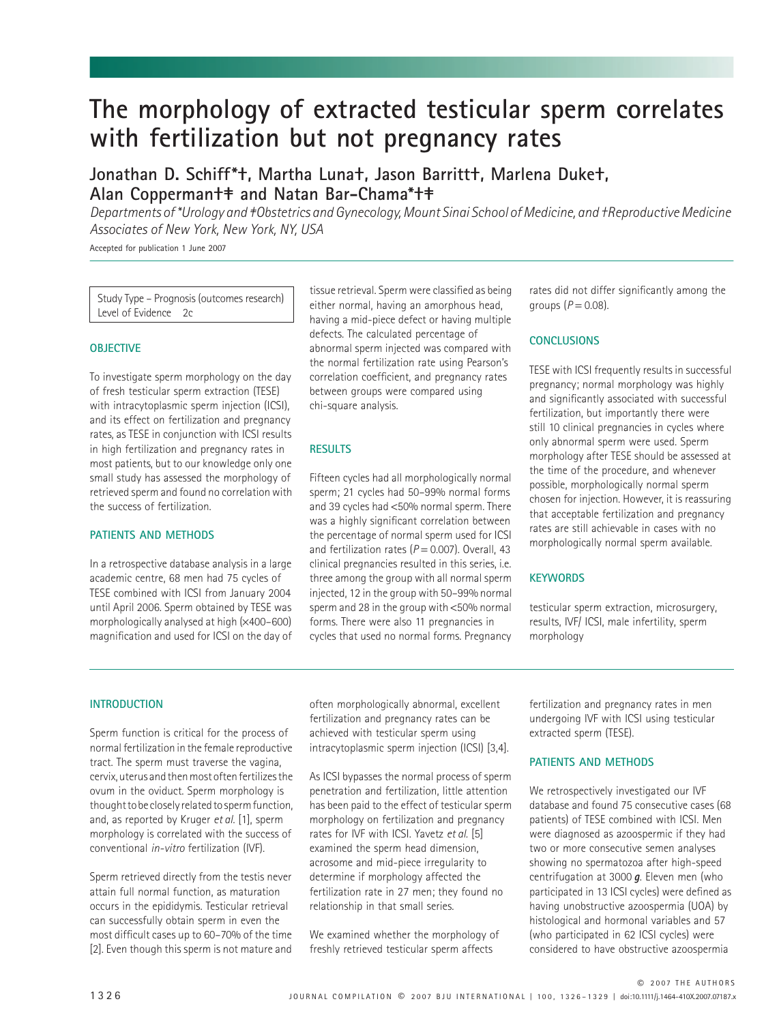# **The morphology of extracted testicular sperm correlates with fertilization but not pregnancy rates**

## **Jonathan D. Schiff\*†, Martha Luna†, Jason Barritt†, Marlena Duke†, Alan Copperman†‡ and Natan Bar-Chama\*†‡**

*Departments of \*Urology and ‡Obstetrics and Gynecology, Mount Sinai School of Medicine, and †Reproductive Medicine Associates of New York, New York, NY, USA*

Accepted for publication 1 June 2007

Study Type – Prognosis (outcomes research) Level of Evidence 2c

## **OBJECTIVE**

To investigate sperm morphology on the day of fresh testicular sperm extraction (TESE) with intracytoplasmic sperm injection (ICSI), and its effect on fertilization and pregnancy rates, as TESE in conjunction with ICSI results in high fertilization and pregnancy rates in most patients, but to our knowledge only one small study has assessed the morphology of retrieved sperm and found no correlation with the success of fertilization.

## **PATIENTS AND METHODS**

In a retrospective database analysis in a large academic centre, 68 men had 75 cycles of TESE combined with ICSI from January 2004 until April 2006. Sperm obtained by TESE was morphologically analysed at high (×400–600) magnification and used for ICSI on the day of tissue retrieval. Sperm were classified as being either normal, having an amorphous head, having a mid-piece defect or having multiple defects. The calculated percentage of abnormal sperm injected was compared with the normal fertilization rate using Pearson's correlation coefficient, and pregnancy rates between groups were compared using chi-square analysis.

## **RESULTS**

Fifteen cycles had all morphologically normal sperm; 21 cycles had 50–99% normal forms and 39 cycles had <50% normal sperm. There was a highly significant correlation between the percentage of normal sperm used for ICSI and fertilization rates  $(P = 0.007)$ . Overall, 43 clinical pregnancies resulted in this series, i.e. three among the group with all normal sperm injected, 12 in the group with 50–99% normal sperm and 28 in the group with <50% normal forms. There were also 11 pregnancies in cycles that used no normal forms. Pregnancy

rates did not differ significantly among the groups  $(P = 0.08)$ .

## **CONCLUSIONS**

TESE with ICSI frequently results in successful pregnancy; normal morphology was highly and significantly associated with successful fertilization, but importantly there were still 10 clinical pregnancies in cycles where only abnormal sperm were used. Sperm morphology after TESE should be assessed at the time of the procedure, and whenever possible, morphologically normal sperm chosen for injection. However, it is reassuring that acceptable fertilization and pregnancy rates are still achievable in cases with no morphologically normal sperm available.

## **KEYWORDS**

testicular sperm extraction, microsurgery, results, IVF/ ICSI, male infertility, sperm morphology

## **INTRODUCTION**

Sperm function is critical for the process of normal fertilization in the female reproductive tract. The sperm must traverse the vagina, cervix, uterus and then most often fertilizes the ovum in the oviduct. Sperm morphology is thought to be closely related to sperm function, and, as reported by Kruger *et al.* [1], sperm morphology is correlated with the success of conventional *in-vitro* fertilization (IVF).

Sperm retrieved directly from the testis never attain full normal function, as maturation occurs in the epididymis. Testicular retrieval can successfully obtain sperm in even the most difficult cases up to 60–70% of the time [2]. Even though this sperm is not mature and often morphologically abnormal, excellent fertilization and pregnancy rates can be achieved with testicular sperm using intracytoplasmic sperm injection (ICSI) [3,4].

As ICSI bypasses the normal process of sperm penetration and fertilization, little attention has been paid to the effect of testicular sperm morphology on fertilization and pregnancy rates for IVF with ICSI. Yavetz *et al.* [5] examined the sperm head dimension, acrosome and mid-piece irregularity to determine if morphology affected the fertilization rate in 27 men; they found no relationship in that small series.

We examined whether the morphology of freshly retrieved testicular sperm affects

fertilization and pregnancy rates in men undergoing IVF with ICSI using testicular extracted sperm (TESE).

## **PATIENTS AND METHODS**

We retrospectively investigated our IVF database and found 75 consecutive cases (68 patients) of TESE combined with ICSI. Men were diagnosed as azoospermic if they had two or more consecutive semen analyses showing no spermatozoa after high-speed centrifugation at 3000 **a**. Eleven men (who participated in 13 ICSI cycles) were defined as having unobstructive azoospermia (UOA) by histological and hormonal variables and 57 (who participated in 62 ICSI cycles) were considered to have obstructive azoospermia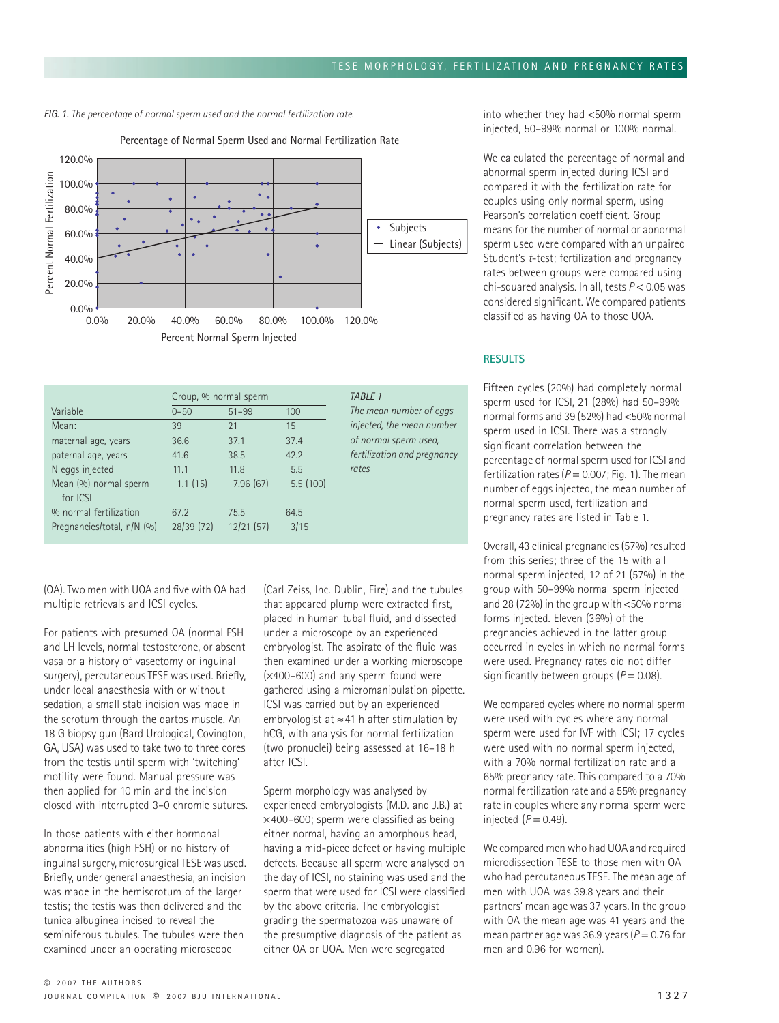*FIG. 1. The percentage of normal sperm used and the normal fertilization rate.*



Percentage of Normal Sperm Used and Normal Fertilization Rate

|                                                      | Group, % normal sperm |                   |              | TABLE 1                     |
|------------------------------------------------------|-----------------------|-------------------|--------------|-----------------------------|
| Variable                                             | $0 - 50$              | $51 - 99$         | 100          | The mean number of eggs     |
| Mean:                                                | 39                    | 21                | 15           | injected, the mean number   |
| maternal age, years                                  | 36.6                  | 37.1              | 37.4         | of normal sperm used,       |
| paternal age, years                                  | 41.6                  | 38.5              | 42.2         | fertilization and pregnancy |
| N eggs injected                                      | 11.1                  | 11.8              | 5.5          | rates                       |
| Mean (%) normal sperm<br>for ICSI                    | 1.1(15)               | 7.96(67)          | 5.5(100)     |                             |
| % normal fertilization<br>Pregnancies/total, n/N (%) | 67.2<br>28/39(72)     | 75.5<br>12/21(57) | 64.5<br>3/15 |                             |

(OA). Two men with UOA and five with OA had multiple retrievals and ICSI cycles.

For patients with presumed OA (normal FSH and LH levels, normal testosterone, or absent vasa or a history of vasectomy or inguinal surgery), percutaneous TESE was used. Briefly, under local anaesthesia with or without sedation, a small stab incision was made in the scrotum through the dartos muscle. An 18 G biopsy gun (Bard Urological, Covington, GA, USA) was used to take two to three cores from the testis until sperm with 'twitching' motility were found. Manual pressure was then applied for 10 min and the incision closed with interrupted 3–0 chromic sutures.

In those patients with either hormonal abnormalities (high FSH) or no history of inguinal surgery, microsurgical TESE was used. Briefly, under general anaesthesia, an incision was made in the hemiscrotum of the larger testis; the testis was then delivered and the tunica albuginea incised to reveal the seminiferous tubules. The tubules were then examined under an operating microscope

(Carl Zeiss, Inc. Dublin, Eire) and the tubules that appeared plump were extracted first, placed in human tubal fluid, and dissected under a microscope by an experienced embryologist. The aspirate of the fluid was then examined under a working microscope (×400–600) and any sperm found were gathered using a micromanipulation pipette. ICSI was carried out by an experienced embryologist at ≈41 h after stimulation by hCG, with analysis for normal fertilization (two pronuclei) being assessed at 16–18 h after ICSI.

Sperm morphology was analysed by experienced embryologists (M.D. and J.B.) at ×400–600; sperm were classified as being either normal, having an amorphous head, having a mid-piece defect or having multiple defects. Because all sperm were analysed on the day of ICSI, no staining was used and the sperm that were used for ICSI were classified by the above criteria. The embryologist grading the spermatozoa was unaware of the presumptive diagnosis of the patient as either OA or UOA. Men were segregated

into whether they had <50% normal sperm injected, 50–99% normal or 100% normal.

We calculated the percentage of normal and abnormal sperm injected during ICSI and compared it with the fertilization rate for couples using only normal sperm, using Pearson's correlation coefficient. Group means for the number of normal or abnormal sperm used were compared with an unpaired Student's *t*-test; fertilization and pregnancy rates between groups were compared using chi-squared analysis. In all, tests *P* < 0.05 was considered significant. We compared patients classified as having OA to those UOA.

## **RESULTS**

Fifteen cycles (20%) had completely normal sperm used for ICSI, 21 (28%) had 50–99% normal forms and 39 (52%) had <50% normal sperm used in ICSI. There was a strongly significant correlation between the percentage of normal sperm used for ICSI and fertilization rates  $(P = 0.007;$  Fig. 1). The mean number of eggs injected, the mean number of normal sperm used, fertilization and pregnancy rates are listed in Table 1.

Overall, 43 clinical pregnancies (57%) resulted from this series; three of the 15 with all normal sperm injected, 12 of 21 (57%) in the group with 50–99% normal sperm injected and 28 (72%) in the group with <50% normal forms injected. Eleven (36%) of the pregnancies achieved in the latter group occurred in cycles in which no normal forms were used. Pregnancy rates did not differ significantly between groups  $(P = 0.08)$ .

We compared cycles where no normal sperm were used with cycles where any normal sperm were used for IVF with ICSI; 17 cycles were used with no normal sperm injected with a 70% normal fertilization rate and a 65% pregnancy rate. This compared to a 70% normal fertilization rate and a 55% pregnancy rate in couples where any normal sperm were injected  $(P = 0.49)$ .

We compared men who had UOA and required microdissection TESE to those men with OA who had percutaneous TESE. The mean age of men with UOA was 39.8 years and their partners' mean age was 37 years. In the group with OA the mean age was 41 years and the mean partner age was 36.9 years ( $P = 0.76$  for men and 0.96 for women).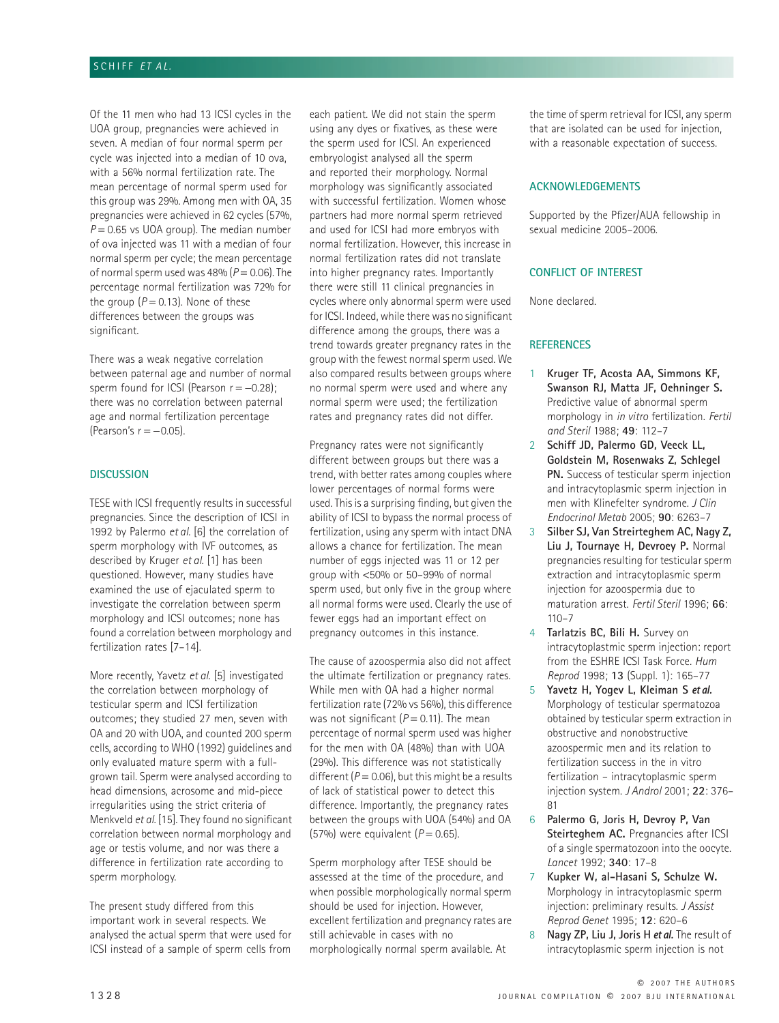## SCHIFF *ET AL.*

Of the 11 men who had 13 ICSI cycles in the UOA group, pregnancies were achieved in seven. A median of four normal sperm per cycle was injected into a median of 10 ova, with a 56% normal fertilization rate. The mean percentage of normal sperm used for this group was 29%. Among men with OA, 35 pregnancies were achieved in 62 cycles (57%,  $P = 0.65$  vs UOA group). The median number of ova injected was 11 with a median of four normal sperm per cycle; the mean percentage of normal sperm used was  $48\%$  ( $P = 0.06$ ). The percentage normal fertilization was 72% for the group  $(P = 0.13)$ . None of these differences between the groups was significant.

There was a weak negative correlation between paternal age and number of normal sperm found for ICSI (Pearson  $r = -0.28$ ); there was no correlation between paternal age and normal fertilization percentage (Pearson's  $r = -0.05$ ).

#### **DISCUSSION**

TESE with ICSI frequently results in successful pregnancies. Since the description of ICSI in 1992 by Palermo *et al.* [6] the correlation of sperm morphology with IVF outcomes, as described by Kruger *et al.* [1] has been questioned. However, many studies have examined the use of ejaculated sperm to investigate the correlation between sperm morphology and ICSI outcomes; none has found a correlation between morphology and fertilization rates [7–14].

More recently, Yavetz *et al.* [5] investigated the correlation between morphology of testicular sperm and ICSI fertilization outcomes; they studied 27 men, seven with OA and 20 with UOA, and counted 200 sperm cells, according to WHO (1992) guidelines and only evaluated mature sperm with a fullgrown tail. Sperm were analysed according to head dimensions, acrosome and mid-piece irregularities using the strict criteria of Menkveld *et al.* [15]. They found no significant correlation between normal morphology and age or testis volume, and nor was there a difference in fertilization rate according to sperm morphology.

The present study differed from this important work in several respects. We analysed the actual sperm that were used for ICSI instead of a sample of sperm cells from

each patient. We did not stain the sperm using any dyes or fixatives, as these were the sperm used for ICSI. An experienced embryologist analysed all the sperm and reported their morphology. Normal morphology was significantly associated with successful fertilization. Women whose partners had more normal sperm retrieved and used for ICSI had more embryos with normal fertilization. However, this increase in normal fertilization rates did not translate into higher pregnancy rates. Importantly there were still 11 clinical pregnancies in cycles where only abnormal sperm were used for ICSI. Indeed, while there was no significant difference among the groups, there was a trend towards greater pregnancy rates in the group with the fewest normal sperm used. We also compared results between groups where no normal sperm were used and where any normal sperm were used; the fertilization rates and pregnancy rates did not differ.

Pregnancy rates were not significantly different between groups but there was a trend, with better rates among couples where lower percentages of normal forms were used. This is a surprising finding, but given the ability of ICSI to bypass the normal process of fertilization, using any sperm with intact DNA allows a chance for fertilization. The mean number of eggs injected was 11 or 12 per group with <50% or 50–99% of normal sperm used, but only five in the group where all normal forms were used. Clearly the use of fewer eggs had an important effect on pregnancy outcomes in this instance.

The cause of azoospermia also did not affect the ultimate fertilization or pregnancy rates. While men with OA had a higher normal fertilization rate (72% vs 56%), this difference was not significant  $(P = 0.11)$ . The mean percentage of normal sperm used was higher for the men with OA (48%) than with UOA (29%). This difference was not statistically different  $(P = 0.06)$ , but this might be a results of lack of statistical power to detect this difference. Importantly, the pregnancy rates between the groups with UOA (54%) and OA (57%) were equivalent  $(P = 0.65)$ .

Sperm morphology after TESE should be assessed at the time of the procedure, and when possible morphologically normal sperm should be used for injection. However, excellent fertilization and pregnancy rates are still achievable in cases with no morphologically normal sperm available. At

the time of sperm retrieval for ICSI, any sperm that are isolated can be used for injection, with a reasonable expectation of success.

## **ACKNOWLEDGEMENTS**

Supported by the Pfizer/AUA fellowship in sexual medicine 2005–2006.

#### **CONFLICT OF INTEREST**

None declared.

## **REFERENCES**

- 1 **Kruger TF, Acosta AA, Simmons KF, Swanson RJ, Matta JF, Oehninger S.**  Predictive value of abnormal sperm morphology in *in vitro* fertilization. *Fertil and Steril* 1988; **49**: 112–7
- 2 **Schiff JD, Palermo GD, Veeck LL, Goldstein M, Rosenwaks Z, Schlegel PN.** Success of testicular sperm injection and intracytoplasmic sperm injection in men with Klinefelter syndrome. *J Clin Endocrinol Metab* 2005; **90**: 6263–7
- 3 **Silber SJ, Van Streirteghem AC, Nagy Z, Liu J, Tournaye H, Devroey P.** Normal pregnancies resulting for testicular sperm extraction and intracytoplasmic sperm injection for azoospermia due to maturation arrest. *Fertil Steril* 1996; **66**:  $110 - 7$
- 4 **Tarlatzis BC, Bili H.** Survey on intracytoplastmic sperm injection: report from the ESHRE ICSI Task Force. *Hum Reprod* 1998; **13** (Suppl. 1): 165–77
- 5 **Yavetz H, Yogev L, Kleiman S** et al. Morphology of testicular spermatozoa obtained by testicular sperm extraction in obstructive and nonobstructive azoospermic men and its relation to fertilization success in the in vitro fertilization – intracytoplasmic sperm injection system. *J Androl* 2001; **22**: 376– 81
- 6 **Palermo G, Joris H, Devroy P, Van Steirteghem AC.** Pregnancies after ICSI of a single spermatozoon into the oocyte. *Lancet* 1992; **340**: 17–8
- 7 **Kupker W, al-Hasani S, Schulze W.**  Morphology in intracytoplasmic sperm injection: preliminary results. *J Assist Reprod Genet* 1995; **12**: 620–6
- 8 **Nagy ZP, Liu J, Joris H et al.** The result of intracytoplasmic sperm injection is not